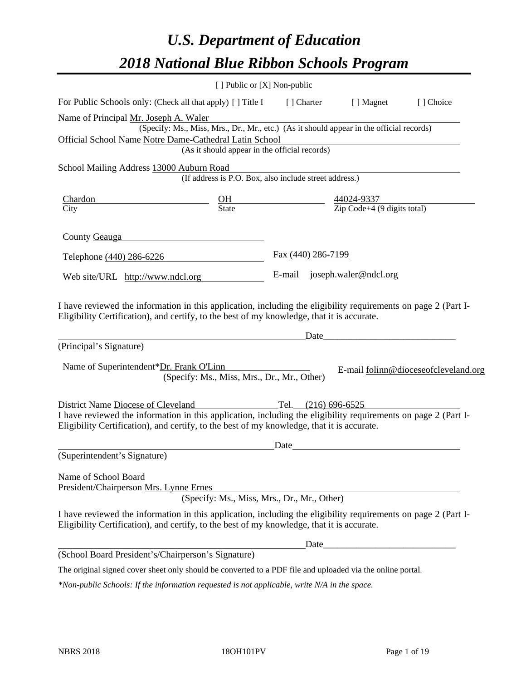# *U.S. Department of Education 2018 National Blue Ribbon Schools Program*

|                                                                    | [ ] Public or [X] Non-public                                                                                                                                                                                                          |                    |                                                         |                                      |
|--------------------------------------------------------------------|---------------------------------------------------------------------------------------------------------------------------------------------------------------------------------------------------------------------------------------|--------------------|---------------------------------------------------------|--------------------------------------|
|                                                                    | For Public Schools only: (Check all that apply) [] Title I                                                                                                                                                                            | [] Charter         | [ ] Magnet                                              | [] Choice                            |
| Name of Principal Mr. Joseph A. Waler                              | (Specify: Ms., Miss, Mrs., Dr., Mr., etc.) (As it should appear in the official records)<br>Official School Name Notre Dame-Cathedral Latin School<br>(As it should appear in the official records)                                   |                    |                                                         |                                      |
| School Mailing Address 13000 Auburn Road                           |                                                                                                                                                                                                                                       |                    |                                                         |                                      |
|                                                                    | (If address is P.O. Box, also include street address.)                                                                                                                                                                                |                    |                                                         |                                      |
| Chardon                                                            | $rac{\text{OH}}{\text{State}}$                                                                                                                                                                                                        |                    |                                                         |                                      |
| City                                                               |                                                                                                                                                                                                                                       |                    | $\frac{44024-9337}{\text{Zip Code}+4 (9 digits total)}$ |                                      |
| County Geauga                                                      |                                                                                                                                                                                                                                       |                    |                                                         |                                      |
| Telephone (440) 286-6226                                           |                                                                                                                                                                                                                                       | Fax (440) 286-7199 |                                                         |                                      |
| Web site/URL http://www.ndcl.org                                   |                                                                                                                                                                                                                                       |                    | E-mail joseph.waler@ndcl.org                            |                                      |
| (Principal's Signature)<br>Name of Superintendent*Dr. Frank O'Linn | (Specify: Ms., Miss, Mrs., Dr., Mr., Other)                                                                                                                                                                                           | Date               |                                                         | E-mail folinn@dioceseofcleveland.org |
| District Name Diocese of Cleveland                                 | Tel. $(216) 696-6525$<br>I have reviewed the information in this application, including the eligibility requirements on page 2 (Part I-<br>Eligibility Certification), and certify, to the best of my knowledge, that it is accurate. |                    |                                                         |                                      |
| (Superintendent's Signature)                                       |                                                                                                                                                                                                                                       | Date               |                                                         |                                      |
| Name of School Board<br>President/Chairperson Mrs. Lynne Ernes     | (Specify: Ms., Miss, Mrs., Dr., Mr., Other)                                                                                                                                                                                           |                    |                                                         |                                      |
|                                                                    | I have reviewed the information in this application, including the eligibility requirements on page 2 (Part I-<br>Eligibility Certification), and certify, to the best of my knowledge, that it is accurate.                          |                    |                                                         |                                      |
|                                                                    |                                                                                                                                                                                                                                       |                    |                                                         |                                      |
|                                                                    | (School Board President's/Chairperson's Signature)                                                                                                                                                                                    |                    |                                                         |                                      |
|                                                                    | The original signed cover sheet only should be converted to a PDF file and uploaded via the online portal.                                                                                                                            |                    |                                                         |                                      |

*\*Non-public Schools: If the information requested is not applicable, write N/A in the space.*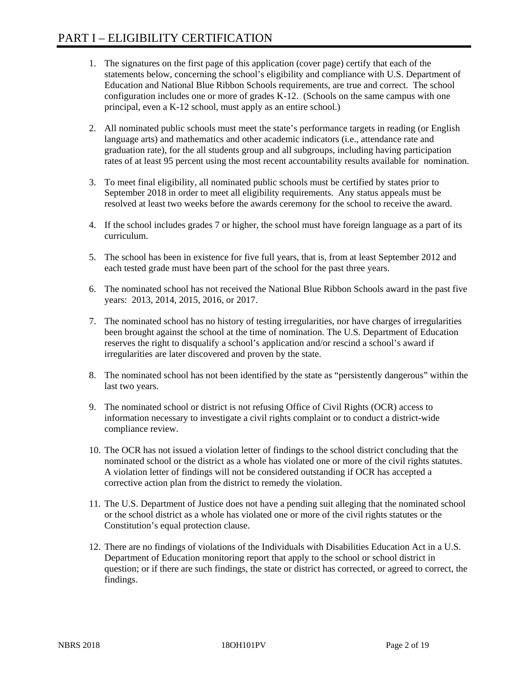- 1. The signatures on the first page of this application (cover page) certify that each of the statements below, concerning the school's eligibility and compliance with U.S. Department of Education and National Blue Ribbon Schools requirements, are true and correct. The school configuration includes one or more of grades K-12. (Schools on the same campus with one principal, even a K-12 school, must apply as an entire school.)
- 2. All nominated public schools must meet the state's performance targets in reading (or English language arts) and mathematics and other academic indicators (i.e., attendance rate and graduation rate), for the all students group and all subgroups, including having participation rates of at least 95 percent using the most recent accountability results available for nomination.
- 3. To meet final eligibility, all nominated public schools must be certified by states prior to September 2018 in order to meet all eligibility requirements. Any status appeals must be resolved at least two weeks before the awards ceremony for the school to receive the award.
- 4. If the school includes grades 7 or higher, the school must have foreign language as a part of its curriculum.
- 5. The school has been in existence for five full years, that is, from at least September 2012 and each tested grade must have been part of the school for the past three years.
- 6. The nominated school has not received the National Blue Ribbon Schools award in the past five years: 2013, 2014, 2015, 2016, or 2017.
- 7. The nominated school has no history of testing irregularities, nor have charges of irregularities been brought against the school at the time of nomination. The U.S. Department of Education reserves the right to disqualify a school's application and/or rescind a school's award if irregularities are later discovered and proven by the state.
- 8. The nominated school has not been identified by the state as "persistently dangerous" within the last two years.
- 9. The nominated school or district is not refusing Office of Civil Rights (OCR) access to information necessary to investigate a civil rights complaint or to conduct a district-wide compliance review.
- 10. The OCR has not issued a violation letter of findings to the school district concluding that the nominated school or the district as a whole has violated one or more of the civil rights statutes. A violation letter of findings will not be considered outstanding if OCR has accepted a corrective action plan from the district to remedy the violation.
- 11. The U.S. Department of Justice does not have a pending suit alleging that the nominated school or the school district as a whole has violated one or more of the civil rights statutes or the Constitution's equal protection clause.
- 12. There are no findings of violations of the Individuals with Disabilities Education Act in a U.S. Department of Education monitoring report that apply to the school or school district in question; or if there are such findings, the state or district has corrected, or agreed to correct, the findings.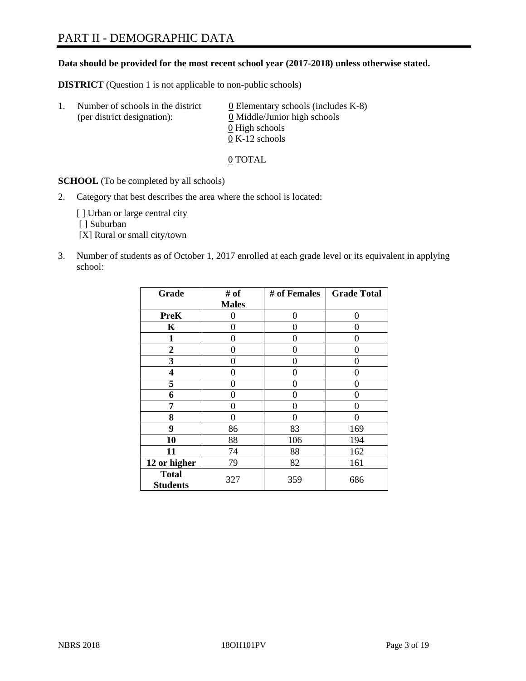## PART II - DEMOGRAPHIC DATA

#### **Data should be provided for the most recent school year (2017-2018) unless otherwise stated.**

**DISTRICT** (Question 1 is not applicable to non-public schools)

| Τ. | Number of schools in the district<br>(per district designation): | 0 Elementary schools (includes K-8)<br>0 Middle/Junior high schools |  |
|----|------------------------------------------------------------------|---------------------------------------------------------------------|--|
|    |                                                                  | 0 High schools                                                      |  |
|    |                                                                  | $0 K-12$ schools                                                    |  |

0 TOTAL

**SCHOOL** (To be completed by all schools)

2. Category that best describes the area where the school is located:

[] Urban or large central city [ ] Suburban [X] Rural or small city/town

3. Number of students as of October 1, 2017 enrolled at each grade level or its equivalent in applying school:

| Grade                           | # of         | # of Females | <b>Grade Total</b> |
|---------------------------------|--------------|--------------|--------------------|
|                                 | <b>Males</b> |              |                    |
| <b>PreK</b>                     | 0            | $\theta$     | 0                  |
| $\mathbf K$                     | 0            | 0            | 0                  |
| $\mathbf{1}$                    | 0            | 0            | 0                  |
| 2                               | 0            | 0            | 0                  |
| 3                               | 0            | 0            | 0                  |
| 4                               | 0            | $\Omega$     | 0                  |
| 5                               | 0            | 0            | 0                  |
| 6                               | 0            | 0            | 0                  |
| 7                               | 0            | 0            | 0                  |
| 8                               | 0            | 0            | 0                  |
| 9                               | 86           | 83           | 169                |
| 10                              | 88           | 106          | 194                |
| 11                              | 74           | 88           | 162                |
| 12 or higher                    | 79           | 82           | 161                |
| <b>Total</b><br><b>Students</b> | 327          | 359          | 686                |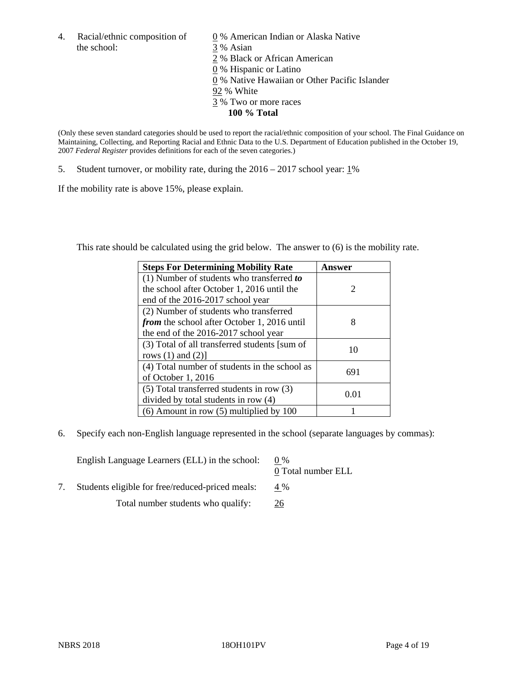4. Racial/ethnic composition of  $\qquad 0\%$  American Indian or Alaska Native the school: 3 % Asian

 % Black or African American % Hispanic or Latino % Native Hawaiian or Other Pacific Islander 92 % White % Two or more races **100 % Total**

(Only these seven standard categories should be used to report the racial/ethnic composition of your school. The Final Guidance on Maintaining, Collecting, and Reporting Racial and Ethnic Data to the U.S. Department of Education published in the October 19, 2007 *Federal Register* provides definitions for each of the seven categories.)

5. Student turnover, or mobility rate, during the  $2016 - 2017$  school year:  $1\%$ 

If the mobility rate is above 15%, please explain.

This rate should be calculated using the grid below. The answer to (6) is the mobility rate.

| <b>Steps For Determining Mobility Rate</b>         | Answer |
|----------------------------------------------------|--------|
| $(1)$ Number of students who transferred to        |        |
| the school after October 1, 2016 until the         | 2      |
| end of the 2016-2017 school year                   |        |
| (2) Number of students who transferred             |        |
| <i>from</i> the school after October 1, 2016 until | 8      |
| the end of the 2016-2017 school year               |        |
| (3) Total of all transferred students [sum of      | 10     |
| rows $(1)$ and $(2)$ ]                             |        |
| (4) Total number of students in the school as      |        |
| of October $1,2016$                                | 691    |
| (5) Total transferred students in row (3)          |        |
| divided by total students in row (4)               | 0.01   |
| $(6)$ Amount in row $(5)$ multiplied by 100        |        |

6. Specify each non-English language represented in the school (separate languages by commas):

| English Language Learners (ELL) in the school:   | $0\%$<br>0 Total number ELL |
|--------------------------------------------------|-----------------------------|
| Students eligible for free/reduced-priced meals: | 4 %                         |
| Total number students who qualify:               | 26                          |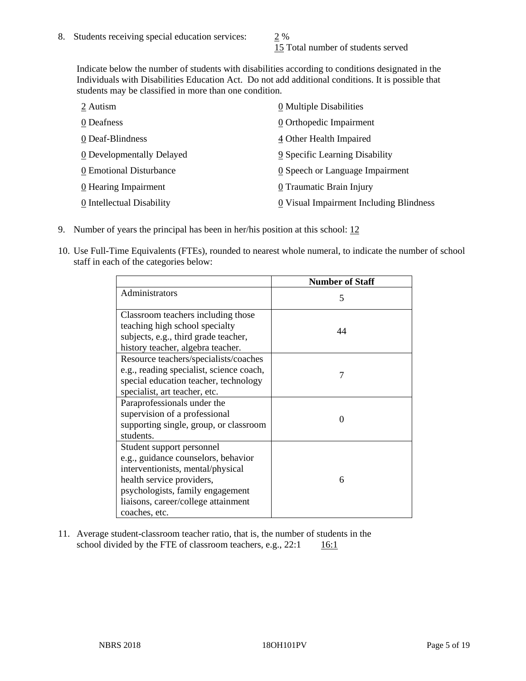15 Total number of students served

Indicate below the number of students with disabilities according to conditions designated in the Individuals with Disabilities Education Act. Do not add additional conditions. It is possible that students may be classified in more than one condition.

| 2 Autism                  | $\underline{0}$ Multiple Disabilities   |
|---------------------------|-----------------------------------------|
| 0 Deafness                | 0 Orthopedic Impairment                 |
| 0 Deaf-Blindness          | 4 Other Health Impaired                 |
| 0 Developmentally Delayed | 9 Specific Learning Disability          |
| 0 Emotional Disturbance   | 0 Speech or Language Impairment         |
| $0$ Hearing Impairment    | 0 Traumatic Brain Injury                |
| 0 Intellectual Disability | 0 Visual Impairment Including Blindness |

- 9. Number of years the principal has been in her/his position at this school: 12
- 10. Use Full-Time Equivalents (FTEs), rounded to nearest whole numeral, to indicate the number of school staff in each of the categories below:

|                                                                                                                                                                                                                                | <b>Number of Staff</b> |
|--------------------------------------------------------------------------------------------------------------------------------------------------------------------------------------------------------------------------------|------------------------|
| Administrators                                                                                                                                                                                                                 | 5                      |
| Classroom teachers including those<br>teaching high school specialty                                                                                                                                                           |                        |
| subjects, e.g., third grade teacher,                                                                                                                                                                                           | 44                     |
| history teacher, algebra teacher.                                                                                                                                                                                              |                        |
| Resource teachers/specialists/coaches<br>e.g., reading specialist, science coach,<br>special education teacher, technology<br>specialist, art teacher, etc.                                                                    |                        |
| Paraprofessionals under the<br>supervision of a professional<br>supporting single, group, or classroom<br>students.                                                                                                            | $\Omega$               |
| Student support personnel<br>e.g., guidance counselors, behavior<br>interventionists, mental/physical<br>health service providers,<br>psychologists, family engagement<br>liaisons, career/college attainment<br>coaches, etc. | 6                      |

11. Average student-classroom teacher ratio, that is, the number of students in the school divided by the FTE of classroom teachers, e.g.,  $22:1$  16:1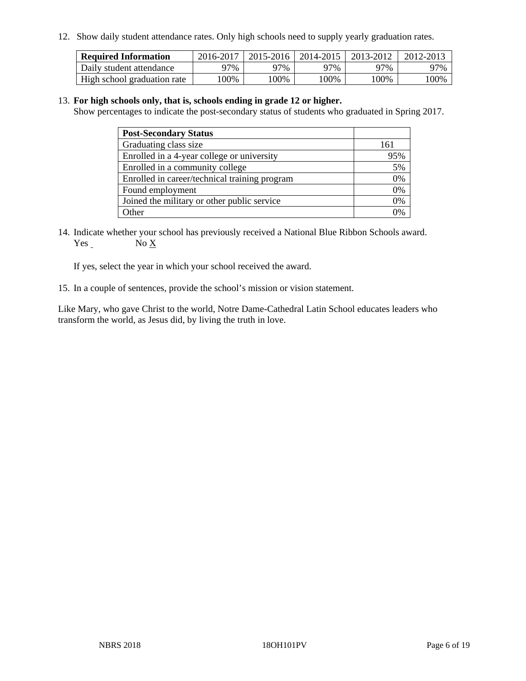12. Show daily student attendance rates. Only high schools need to supply yearly graduation rates.

| <b>Required Information</b> | 2016-2017 | 2015-2016 | 2014-2015 | 2013-2012 | 2012-2013 |
|-----------------------------|-----------|-----------|-----------|-----------|-----------|
| Daily student attendance    | 97%       | 97%       | 97%       | 97%       | 97%       |
| High school graduation rate | .00%      | 100%      | 00%       | 100%      | 00%       |

#### 13. **For high schools only, that is, schools ending in grade 12 or higher.**

Show percentages to indicate the post-secondary status of students who graduated in Spring 2017.

| <b>Post-Secondary Status</b>                  |                |
|-----------------------------------------------|----------------|
| Graduating class size                         | 161            |
| Enrolled in a 4-year college or university    | 95%            |
| Enrolled in a community college               | 5%             |
| Enrolled in career/technical training program | 0%             |
| Found employment                              | 0%             |
| Joined the military or other public service   | 0%             |
| Other                                         | $\frac{10}{6}$ |

14. Indicate whether your school has previously received a National Blue Ribbon Schools award. Yes No X

If yes, select the year in which your school received the award.

15. In a couple of sentences, provide the school's mission or vision statement.

Like Mary, who gave Christ to the world, Notre Dame-Cathedral Latin School educates leaders who transform the world, as Jesus did, by living the truth in love.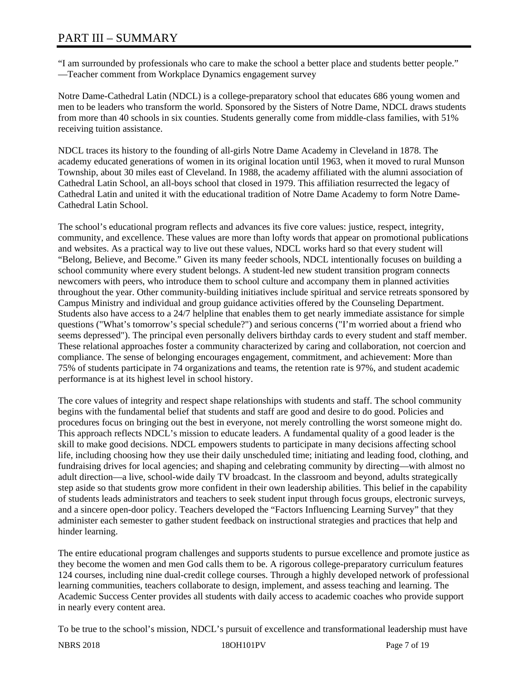# PART III – SUMMARY

"I am surrounded by professionals who care to make the school a better place and students better people." —Teacher comment from Workplace Dynamics engagement survey

Notre Dame-Cathedral Latin (NDCL) is a college-preparatory school that educates 686 young women and men to be leaders who transform the world. Sponsored by the Sisters of Notre Dame, NDCL draws students from more than 40 schools in six counties. Students generally come from middle-class families, with 51% receiving tuition assistance.

NDCL traces its history to the founding of all-girls Notre Dame Academy in Cleveland in 1878. The academy educated generations of women in its original location until 1963, when it moved to rural Munson Township, about 30 miles east of Cleveland. In 1988, the academy affiliated with the alumni association of Cathedral Latin School, an all-boys school that closed in 1979. This affiliation resurrected the legacy of Cathedral Latin and united it with the educational tradition of Notre Dame Academy to form Notre Dame-Cathedral Latin School.

The school's educational program reflects and advances its five core values: justice, respect, integrity, community, and excellence. These values are more than lofty words that appear on promotional publications and websites. As a practical way to live out these values, NDCL works hard so that every student will "Belong, Believe, and Become." Given its many feeder schools, NDCL intentionally focuses on building a school community where every student belongs. A student-led new student transition program connects newcomers with peers, who introduce them to school culture and accompany them in planned activities throughout the year. Other community-building initiatives include spiritual and service retreats sponsored by Campus Ministry and individual and group guidance activities offered by the Counseling Department. Students also have access to a 24/7 helpline that enables them to get nearly immediate assistance for simple questions ("What's tomorrow's special schedule?") and serious concerns ("I'm worried about a friend who seems depressed"). The principal even personally delivers birthday cards to every student and staff member. These relational approaches foster a community characterized by caring and collaboration, not coercion and compliance. The sense of belonging encourages engagement, commitment, and achievement: More than 75% of students participate in 74 organizations and teams, the retention rate is 97%, and student academic performance is at its highest level in school history.

The core values of integrity and respect shape relationships with students and staff. The school community begins with the fundamental belief that students and staff are good and desire to do good. Policies and procedures focus on bringing out the best in everyone, not merely controlling the worst someone might do. This approach reflects NDCL's mission to educate leaders. A fundamental quality of a good leader is the skill to make good decisions. NDCL empowers students to participate in many decisions affecting school life, including choosing how they use their daily unscheduled time; initiating and leading food, clothing, and fundraising drives for local agencies; and shaping and celebrating community by directing—with almost no adult direction—a live, school-wide daily TV broadcast. In the classroom and beyond, adults strategically step aside so that students grow more confident in their own leadership abilities. This belief in the capability of students leads administrators and teachers to seek student input through focus groups, electronic surveys, and a sincere open-door policy. Teachers developed the "Factors Influencing Learning Survey" that they administer each semester to gather student feedback on instructional strategies and practices that help and hinder learning.

The entire educational program challenges and supports students to pursue excellence and promote justice as they become the women and men God calls them to be. A rigorous college-preparatory curriculum features 124 courses, including nine dual-credit college courses. Through a highly developed network of professional learning communities, teachers collaborate to design, implement, and assess teaching and learning. The Academic Success Center provides all students with daily access to academic coaches who provide support in nearly every content area.

To be true to the school's mission, NDCL's pursuit of excellence and transformational leadership must have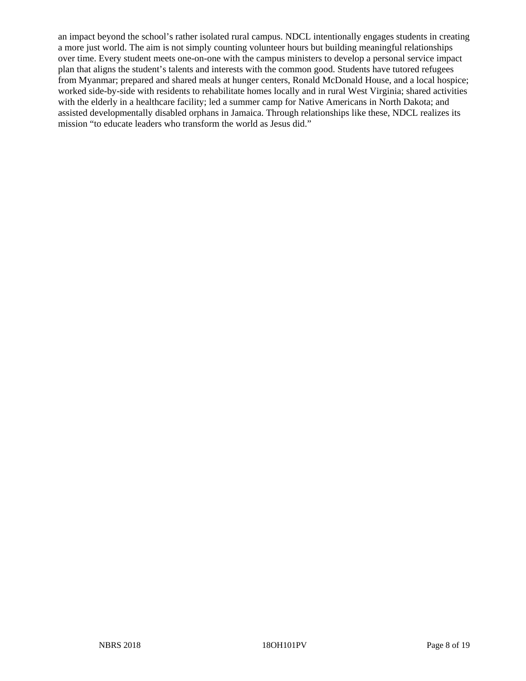an impact beyond the school's rather isolated rural campus. NDCL intentionally engages students in creating a more just world. The aim is not simply counting volunteer hours but building meaningful relationships over time. Every student meets one-on-one with the campus ministers to develop a personal service impact plan that aligns the student's talents and interests with the common good. Students have tutored refugees from Myanmar; prepared and shared meals at hunger centers, Ronald McDonald House, and a local hospice; worked side-by-side with residents to rehabilitate homes locally and in rural West Virginia; shared activities with the elderly in a healthcare facility; led a summer camp for Native Americans in North Dakota; and assisted developmentally disabled orphans in Jamaica. Through relationships like these, NDCL realizes its mission "to educate leaders who transform the world as Jesus did."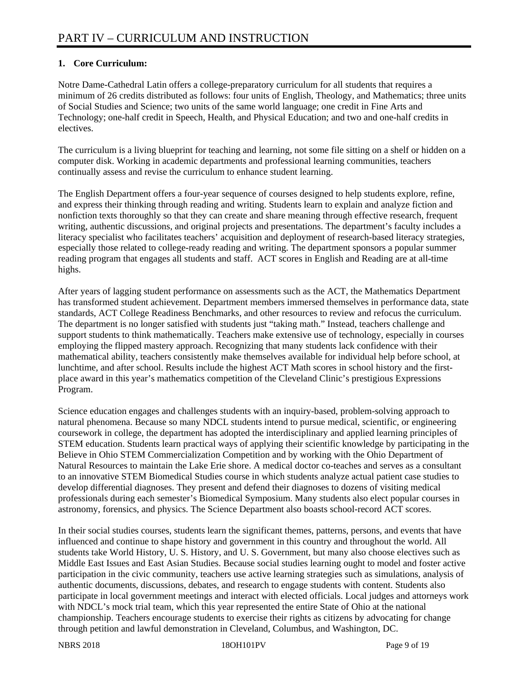#### **1. Core Curriculum:**

Notre Dame-Cathedral Latin offers a college-preparatory curriculum for all students that requires a minimum of 26 credits distributed as follows: four units of English, Theology, and Mathematics; three units of Social Studies and Science; two units of the same world language; one credit in Fine Arts and Technology; one-half credit in Speech, Health, and Physical Education; and two and one-half credits in electives.

The curriculum is a living blueprint for teaching and learning, not some file sitting on a shelf or hidden on a computer disk. Working in academic departments and professional learning communities, teachers continually assess and revise the curriculum to enhance student learning.

The English Department offers a four-year sequence of courses designed to help students explore, refine, and express their thinking through reading and writing. Students learn to explain and analyze fiction and nonfiction texts thoroughly so that they can create and share meaning through effective research, frequent writing, authentic discussions, and original projects and presentations. The department's faculty includes a literacy specialist who facilitates teachers' acquisition and deployment of research-based literacy strategies, especially those related to college-ready reading and writing. The department sponsors a popular summer reading program that engages all students and staff. ACT scores in English and Reading are at all-time highs.

After years of lagging student performance on assessments such as the ACT, the Mathematics Department has transformed student achievement. Department members immersed themselves in performance data, state standards, ACT College Readiness Benchmarks, and other resources to review and refocus the curriculum. The department is no longer satisfied with students just "taking math." Instead, teachers challenge and support students to think mathematically. Teachers make extensive use of technology, especially in courses employing the flipped mastery approach. Recognizing that many students lack confidence with their mathematical ability, teachers consistently make themselves available for individual help before school, at lunchtime, and after school. Results include the highest ACT Math scores in school history and the firstplace award in this year's mathematics competition of the Cleveland Clinic's prestigious Expressions Program.

Science education engages and challenges students with an inquiry-based, problem-solving approach to natural phenomena. Because so many NDCL students intend to pursue medical, scientific, or engineering coursework in college, the department has adopted the interdisciplinary and applied learning principles of STEM education. Students learn practical ways of applying their scientific knowledge by participating in the Believe in Ohio STEM Commercialization Competition and by working with the Ohio Department of Natural Resources to maintain the Lake Erie shore. A medical doctor co-teaches and serves as a consultant to an innovative STEM Biomedical Studies course in which students analyze actual patient case studies to develop differential diagnoses. They present and defend their diagnoses to dozens of visiting medical professionals during each semester's Biomedical Symposium. Many students also elect popular courses in astronomy, forensics, and physics. The Science Department also boasts school-record ACT scores.

In their social studies courses, students learn the significant themes, patterns, persons, and events that have influenced and continue to shape history and government in this country and throughout the world. All students take World History, U. S. History, and U. S. Government, but many also choose electives such as Middle East Issues and East Asian Studies. Because social studies learning ought to model and foster active participation in the civic community, teachers use active learning strategies such as simulations, analysis of authentic documents, discussions, debates, and research to engage students with content. Students also participate in local government meetings and interact with elected officials. Local judges and attorneys work with NDCL's mock trial team, which this year represented the entire State of Ohio at the national championship. Teachers encourage students to exercise their rights as citizens by advocating for change through petition and lawful demonstration in Cleveland, Columbus, and Washington, DC.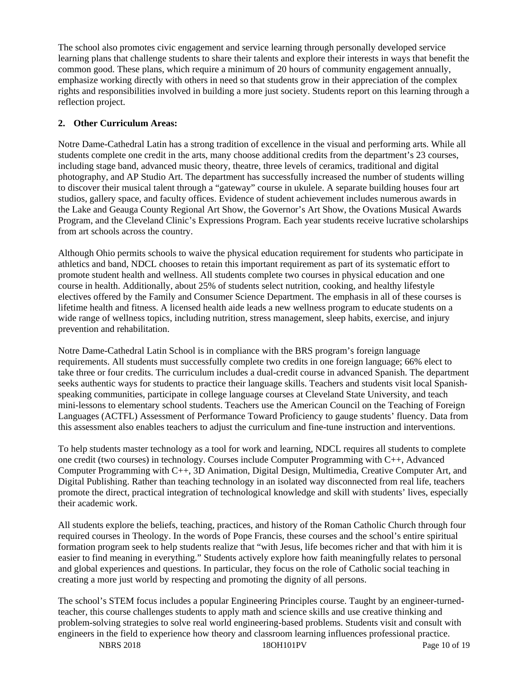The school also promotes civic engagement and service learning through personally developed service learning plans that challenge students to share their talents and explore their interests in ways that benefit the common good. These plans, which require a minimum of 20 hours of community engagement annually, emphasize working directly with others in need so that students grow in their appreciation of the complex rights and responsibilities involved in building a more just society. Students report on this learning through a reflection project.

#### **2. Other Curriculum Areas:**

Notre Dame-Cathedral Latin has a strong tradition of excellence in the visual and performing arts. While all students complete one credit in the arts, many choose additional credits from the department's 23 courses, including stage band, advanced music theory, theatre, three levels of ceramics, traditional and digital photography, and AP Studio Art. The department has successfully increased the number of students willing to discover their musical talent through a "gateway" course in ukulele. A separate building houses four art studios, gallery space, and faculty offices. Evidence of student achievement includes numerous awards in the Lake and Geauga County Regional Art Show, the Governor's Art Show, the Ovations Musical Awards Program, and the Cleveland Clinic's Expressions Program. Each year students receive lucrative scholarships from art schools across the country.

Although Ohio permits schools to waive the physical education requirement for students who participate in athletics and band, NDCL chooses to retain this important requirement as part of its systematic effort to promote student health and wellness. All students complete two courses in physical education and one course in health. Additionally, about 25% of students select nutrition, cooking, and healthy lifestyle electives offered by the Family and Consumer Science Department. The emphasis in all of these courses is lifetime health and fitness. A licensed health aide leads a new wellness program to educate students on a wide range of wellness topics, including nutrition, stress management, sleep habits, exercise, and injury prevention and rehabilitation.

Notre Dame-Cathedral Latin School is in compliance with the BRS program's foreign language requirements. All students must successfully complete two credits in one foreign language; 66% elect to take three or four credits. The curriculum includes a dual-credit course in advanced Spanish. The department seeks authentic ways for students to practice their language skills. Teachers and students visit local Spanishspeaking communities, participate in college language courses at Cleveland State University, and teach mini-lessons to elementary school students. Teachers use the American Council on the Teaching of Foreign Languages (ACTFL) Assessment of Performance Toward Proficiency to gauge students' fluency. Data from this assessment also enables teachers to adjust the curriculum and fine-tune instruction and interventions.

To help students master technology as a tool for work and learning, NDCL requires all students to complete one credit (two courses) in technology. Courses include Computer Programming with C++, Advanced Computer Programming with C++, 3D Animation, Digital Design, Multimedia, Creative Computer Art, and Digital Publishing. Rather than teaching technology in an isolated way disconnected from real life, teachers promote the direct, practical integration of technological knowledge and skill with students' lives, especially their academic work.

All students explore the beliefs, teaching, practices, and history of the Roman Catholic Church through four required courses in Theology. In the words of Pope Francis, these courses and the school's entire spiritual formation program seek to help students realize that "with Jesus, life becomes richer and that with him it is easier to find meaning in everything." Students actively explore how faith meaningfully relates to personal and global experiences and questions. In particular, they focus on the role of Catholic social teaching in creating a more just world by respecting and promoting the dignity of all persons.

The school's STEM focus includes a popular Engineering Principles course. Taught by an engineer-turnedteacher, this course challenges students to apply math and science skills and use creative thinking and problem-solving strategies to solve real world engineering-based problems. Students visit and consult with engineers in the field to experience how theory and classroom learning influences professional practice.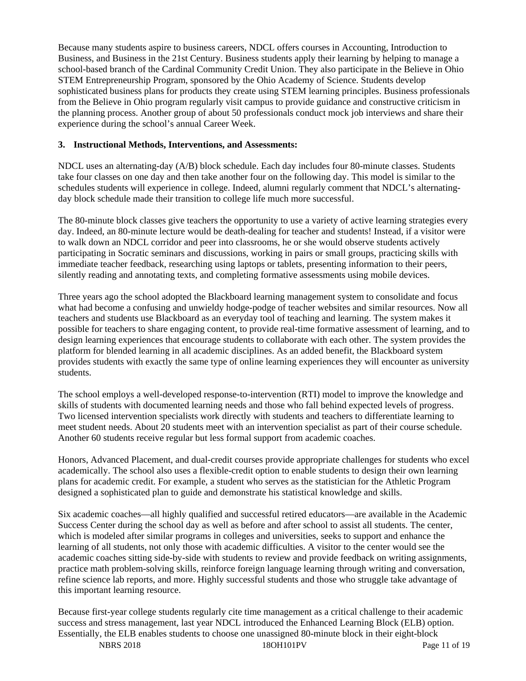Because many students aspire to business careers, NDCL offers courses in Accounting, Introduction to Business, and Business in the 21st Century. Business students apply their learning by helping to manage a school-based branch of the Cardinal Community Credit Union. They also participate in the Believe in Ohio STEM Entrepreneurship Program, sponsored by the Ohio Academy of Science. Students develop sophisticated business plans for products they create using STEM learning principles. Business professionals from the Believe in Ohio program regularly visit campus to provide guidance and constructive criticism in the planning process. Another group of about 50 professionals conduct mock job interviews and share their experience during the school's annual Career Week.

#### **3. Instructional Methods, Interventions, and Assessments:**

NDCL uses an alternating-day (A/B) block schedule. Each day includes four 80-minute classes. Students take four classes on one day and then take another four on the following day. This model is similar to the schedules students will experience in college. Indeed, alumni regularly comment that NDCL's alternatingday block schedule made their transition to college life much more successful.

The 80-minute block classes give teachers the opportunity to use a variety of active learning strategies every day. Indeed, an 80-minute lecture would be death-dealing for teacher and students! Instead, if a visitor were to walk down an NDCL corridor and peer into classrooms, he or she would observe students actively participating in Socratic seminars and discussions, working in pairs or small groups, practicing skills with immediate teacher feedback, researching using laptops or tablets, presenting information to their peers, silently reading and annotating texts, and completing formative assessments using mobile devices.

Three years ago the school adopted the Blackboard learning management system to consolidate and focus what had become a confusing and unwieldy hodge-podge of teacher websites and similar resources. Now all teachers and students use Blackboard as an everyday tool of teaching and learning. The system makes it possible for teachers to share engaging content, to provide real-time formative assessment of learning, and to design learning experiences that encourage students to collaborate with each other. The system provides the platform for blended learning in all academic disciplines. As an added benefit, the Blackboard system provides students with exactly the same type of online learning experiences they will encounter as university students.

The school employs a well-developed response-to-intervention (RTI) model to improve the knowledge and skills of students with documented learning needs and those who fall behind expected levels of progress. Two licensed intervention specialists work directly with students and teachers to differentiate learning to meet student needs. About 20 students meet with an intervention specialist as part of their course schedule. Another 60 students receive regular but less formal support from academic coaches.

Honors, Advanced Placement, and dual-credit courses provide appropriate challenges for students who excel academically. The school also uses a flexible-credit option to enable students to design their own learning plans for academic credit. For example, a student who serves as the statistician for the Athletic Program designed a sophisticated plan to guide and demonstrate his statistical knowledge and skills.

Six academic coaches—all highly qualified and successful retired educators—are available in the Academic Success Center during the school day as well as before and after school to assist all students. The center, which is modeled after similar programs in colleges and universities, seeks to support and enhance the learning of all students, not only those with academic difficulties. A visitor to the center would see the academic coaches sitting side-by-side with students to review and provide feedback on writing assignments, practice math problem-solving skills, reinforce foreign language learning through writing and conversation, refine science lab reports, and more. Highly successful students and those who struggle take advantage of this important learning resource.

NBRS 2018 18OH101PV Page 11 of 19 Because first-year college students regularly cite time management as a critical challenge to their academic success and stress management, last year NDCL introduced the Enhanced Learning Block (ELB) option. Essentially, the ELB enables students to choose one unassigned 80-minute block in their eight-block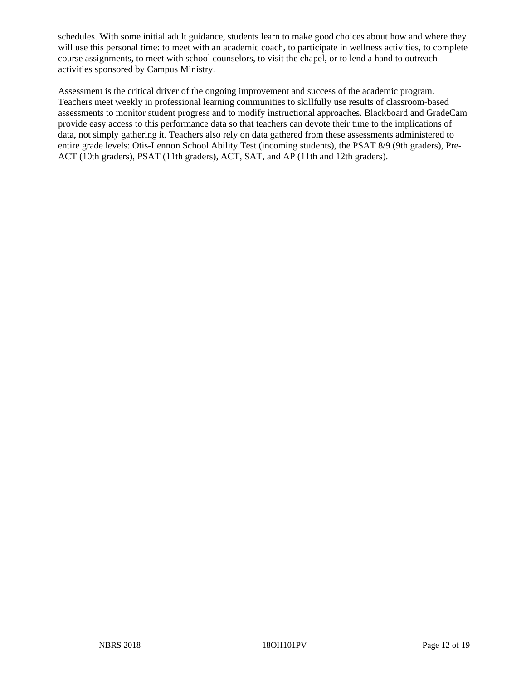schedules. With some initial adult guidance, students learn to make good choices about how and where they will use this personal time: to meet with an academic coach, to participate in wellness activities, to complete course assignments, to meet with school counselors, to visit the chapel, or to lend a hand to outreach activities sponsored by Campus Ministry.

Assessment is the critical driver of the ongoing improvement and success of the academic program. Teachers meet weekly in professional learning communities to skillfully use results of classroom-based assessments to monitor student progress and to modify instructional approaches. Blackboard and GradeCam provide easy access to this performance data so that teachers can devote their time to the implications of data, not simply gathering it. Teachers also rely on data gathered from these assessments administered to entire grade levels: Otis-Lennon School Ability Test (incoming students), the PSAT 8/9 (9th graders), Pre-ACT (10th graders), PSAT (11th graders), ACT, SAT, and AP (11th and 12th graders).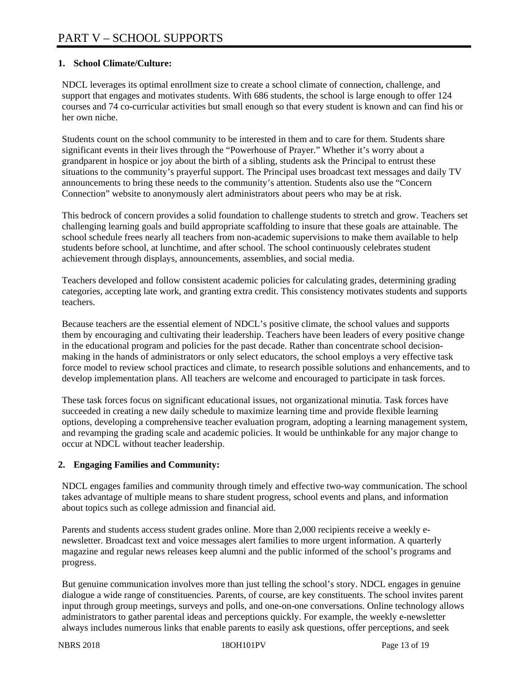#### **1. School Climate/Culture:**

NDCL leverages its optimal enrollment size to create a school climate of connection, challenge, and support that engages and motivates students. With 686 students, the school is large enough to offer 124 courses and 74 co-curricular activities but small enough so that every student is known and can find his or her own niche.

Students count on the school community to be interested in them and to care for them. Students share significant events in their lives through the "Powerhouse of Prayer." Whether it's worry about a grandparent in hospice or joy about the birth of a sibling, students ask the Principal to entrust these situations to the community's prayerful support. The Principal uses broadcast text messages and daily TV announcements to bring these needs to the community's attention. Students also use the "Concern Connection" website to anonymously alert administrators about peers who may be at risk.

This bedrock of concern provides a solid foundation to challenge students to stretch and grow. Teachers set challenging learning goals and build appropriate scaffolding to insure that these goals are attainable. The school schedule frees nearly all teachers from non-academic supervisions to make them available to help students before school, at lunchtime, and after school. The school continuously celebrates student achievement through displays, announcements, assemblies, and social media.

Teachers developed and follow consistent academic policies for calculating grades, determining grading categories, accepting late work, and granting extra credit. This consistency motivates students and supports teachers.

Because teachers are the essential element of NDCL's positive climate, the school values and supports them by encouraging and cultivating their leadership. Teachers have been leaders of every positive change in the educational program and policies for the past decade. Rather than concentrate school decisionmaking in the hands of administrators or only select educators, the school employs a very effective task force model to review school practices and climate, to research possible solutions and enhancements, and to develop implementation plans. All teachers are welcome and encouraged to participate in task forces.

These task forces focus on significant educational issues, not organizational minutia. Task forces have succeeded in creating a new daily schedule to maximize learning time and provide flexible learning options, developing a comprehensive teacher evaluation program, adopting a learning management system, and revamping the grading scale and academic policies. It would be unthinkable for any major change to occur at NDCL without teacher leadership.

#### **2. Engaging Families and Community:**

NDCL engages families and community through timely and effective two-way communication. The school takes advantage of multiple means to share student progress, school events and plans, and information about topics such as college admission and financial aid.

Parents and students access student grades online. More than 2,000 recipients receive a weekly enewsletter. Broadcast text and voice messages alert families to more urgent information. A quarterly magazine and regular news releases keep alumni and the public informed of the school's programs and progress.

But genuine communication involves more than just telling the school's story. NDCL engages in genuine dialogue a wide range of constituencies. Parents, of course, are key constituents. The school invites parent input through group meetings, surveys and polls, and one-on-one conversations. Online technology allows administrators to gather parental ideas and perceptions quickly. For example, the weekly e-newsletter always includes numerous links that enable parents to easily ask questions, offer perceptions, and seek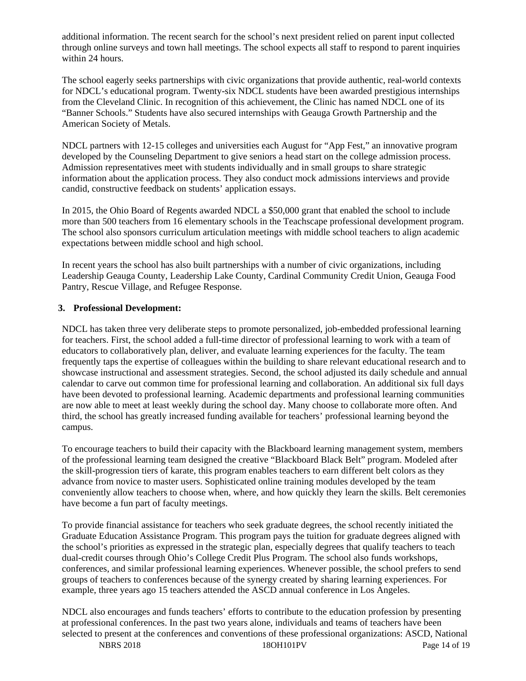additional information. The recent search for the school's next president relied on parent input collected through online surveys and town hall meetings. The school expects all staff to respond to parent inquiries within 24 hours.

The school eagerly seeks partnerships with civic organizations that provide authentic, real-world contexts for NDCL's educational program. Twenty-six NDCL students have been awarded prestigious internships from the Cleveland Clinic. In recognition of this achievement, the Clinic has named NDCL one of its "Banner Schools." Students have also secured internships with Geauga Growth Partnership and the American Society of Metals.

NDCL partners with 12-15 colleges and universities each August for "App Fest," an innovative program developed by the Counseling Department to give seniors a head start on the college admission process. Admission representatives meet with students individually and in small groups to share strategic information about the application process. They also conduct mock admissions interviews and provide candid, constructive feedback on students' application essays.

In 2015, the Ohio Board of Regents awarded NDCL a \$50,000 grant that enabled the school to include more than 500 teachers from 16 elementary schools in the Teachscape professional development program. The school also sponsors curriculum articulation meetings with middle school teachers to align academic expectations between middle school and high school.

In recent years the school has also built partnerships with a number of civic organizations, including Leadership Geauga County, Leadership Lake County, Cardinal Community Credit Union, Geauga Food Pantry, Rescue Village, and Refugee Response.

#### **3. Professional Development:**

NDCL has taken three very deliberate steps to promote personalized, job-embedded professional learning for teachers. First, the school added a full-time director of professional learning to work with a team of educators to collaboratively plan, deliver, and evaluate learning experiences for the faculty. The team frequently taps the expertise of colleagues within the building to share relevant educational research and to showcase instructional and assessment strategies. Second, the school adjusted its daily schedule and annual calendar to carve out common time for professional learning and collaboration. An additional six full days have been devoted to professional learning. Academic departments and professional learning communities are now able to meet at least weekly during the school day. Many choose to collaborate more often. And third, the school has greatly increased funding available for teachers' professional learning beyond the campus.

To encourage teachers to build their capacity with the Blackboard learning management system, members of the professional learning team designed the creative "Blackboard Black Belt" program. Modeled after the skill-progression tiers of karate, this program enables teachers to earn different belt colors as they advance from novice to master users. Sophisticated online training modules developed by the team conveniently allow teachers to choose when, where, and how quickly they learn the skills. Belt ceremonies have become a fun part of faculty meetings.

To provide financial assistance for teachers who seek graduate degrees, the school recently initiated the Graduate Education Assistance Program. This program pays the tuition for graduate degrees aligned with the school's priorities as expressed in the strategic plan, especially degrees that qualify teachers to teach dual-credit courses through Ohio's College Credit Plus Program. The school also funds workshops, conferences, and similar professional learning experiences. Whenever possible, the school prefers to send groups of teachers to conferences because of the synergy created by sharing learning experiences. For example, three years ago 15 teachers attended the ASCD annual conference in Los Angeles.

NBRS 2018 18OH101PV Page 14 of 19 NDCL also encourages and funds teachers' efforts to contribute to the education profession by presenting at professional conferences. In the past two years alone, individuals and teams of teachers have been selected to present at the conferences and conventions of these professional organizations: ASCD, National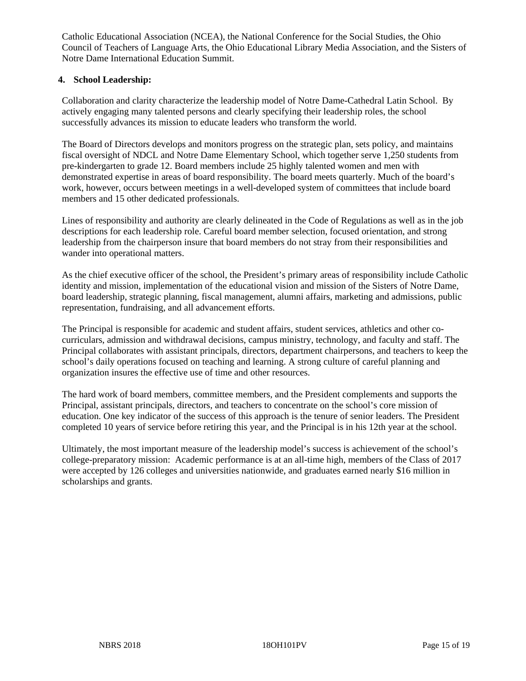Catholic Educational Association (NCEA), the National Conference for the Social Studies, the Ohio Council of Teachers of Language Arts, the Ohio Educational Library Media Association, and the Sisters of Notre Dame International Education Summit.

#### **4. School Leadership:**

Collaboration and clarity characterize the leadership model of Notre Dame-Cathedral Latin School. By actively engaging many talented persons and clearly specifying their leadership roles, the school successfully advances its mission to educate leaders who transform the world.

The Board of Directors develops and monitors progress on the strategic plan, sets policy, and maintains fiscal oversight of NDCL and Notre Dame Elementary School, which together serve 1,250 students from pre-kindergarten to grade 12. Board members include 25 highly talented women and men with demonstrated expertise in areas of board responsibility. The board meets quarterly. Much of the board's work, however, occurs between meetings in a well-developed system of committees that include board members and 15 other dedicated professionals.

Lines of responsibility and authority are clearly delineated in the Code of Regulations as well as in the job descriptions for each leadership role. Careful board member selection, focused orientation, and strong leadership from the chairperson insure that board members do not stray from their responsibilities and wander into operational matters.

As the chief executive officer of the school, the President's primary areas of responsibility include Catholic identity and mission, implementation of the educational vision and mission of the Sisters of Notre Dame, board leadership, strategic planning, fiscal management, alumni affairs, marketing and admissions, public representation, fundraising, and all advancement efforts.

The Principal is responsible for academic and student affairs, student services, athletics and other cocurriculars, admission and withdrawal decisions, campus ministry, technology, and faculty and staff. The Principal collaborates with assistant principals, directors, department chairpersons, and teachers to keep the school's daily operations focused on teaching and learning. A strong culture of careful planning and organization insures the effective use of time and other resources.

The hard work of board members, committee members, and the President complements and supports the Principal, assistant principals, directors, and teachers to concentrate on the school's core mission of education. One key indicator of the success of this approach is the tenure of senior leaders. The President completed 10 years of service before retiring this year, and the Principal is in his 12th year at the school.

Ultimately, the most important measure of the leadership model's success is achievement of the school's college-preparatory mission: Academic performance is at an all-time high, members of the Class of 2017 were accepted by 126 colleges and universities nationwide, and graduates earned nearly \$16 million in scholarships and grants.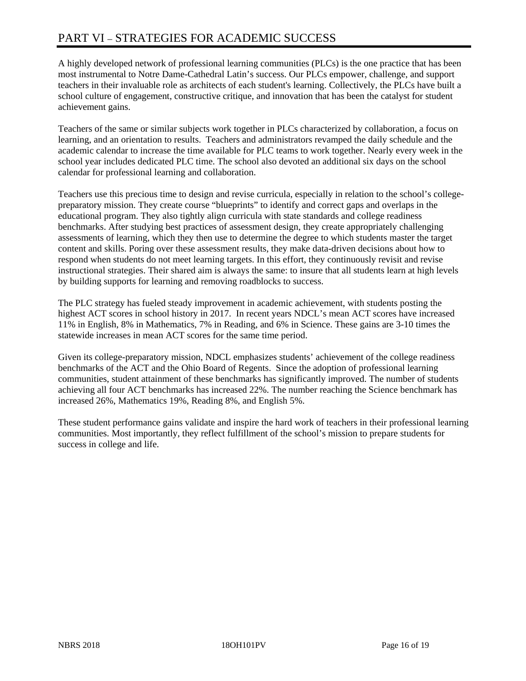# PART VI – STRATEGIES FOR ACADEMIC SUCCESS

A highly developed network of professional learning communities (PLCs) is the one practice that has been most instrumental to Notre Dame-Cathedral Latin's success. Our PLCs empower, challenge, and support teachers in their invaluable role as architects of each student's learning. Collectively, the PLCs have built a school culture of engagement, constructive critique, and innovation that has been the catalyst for student achievement gains.

Teachers of the same or similar subjects work together in PLCs characterized by collaboration, a focus on learning, and an orientation to results. Teachers and administrators revamped the daily schedule and the academic calendar to increase the time available for PLC teams to work together. Nearly every week in the school year includes dedicated PLC time. The school also devoted an additional six days on the school calendar for professional learning and collaboration.

Teachers use this precious time to design and revise curricula, especially in relation to the school's collegepreparatory mission. They create course "blueprints" to identify and correct gaps and overlaps in the educational program. They also tightly align curricula with state standards and college readiness benchmarks. After studying best practices of assessment design, they create appropriately challenging assessments of learning, which they then use to determine the degree to which students master the target content and skills. Poring over these assessment results, they make data-driven decisions about how to respond when students do not meet learning targets. In this effort, they continuously revisit and revise instructional strategies. Their shared aim is always the same: to insure that all students learn at high levels by building supports for learning and removing roadblocks to success.

The PLC strategy has fueled steady improvement in academic achievement, with students posting the highest ACT scores in school history in 2017. In recent years NDCL's mean ACT scores have increased 11% in English, 8% in Mathematics, 7% in Reading, and 6% in Science. These gains are 3-10 times the statewide increases in mean ACT scores for the same time period.

Given its college-preparatory mission, NDCL emphasizes students' achievement of the college readiness benchmarks of the ACT and the Ohio Board of Regents. Since the adoption of professional learning communities, student attainment of these benchmarks has significantly improved. The number of students achieving all four ACT benchmarks has increased 22%. The number reaching the Science benchmark has increased 26%, Mathematics 19%, Reading 8%, and English 5%.

These student performance gains validate and inspire the hard work of teachers in their professional learning communities. Most importantly, they reflect fulfillment of the school's mission to prepare students for success in college and life.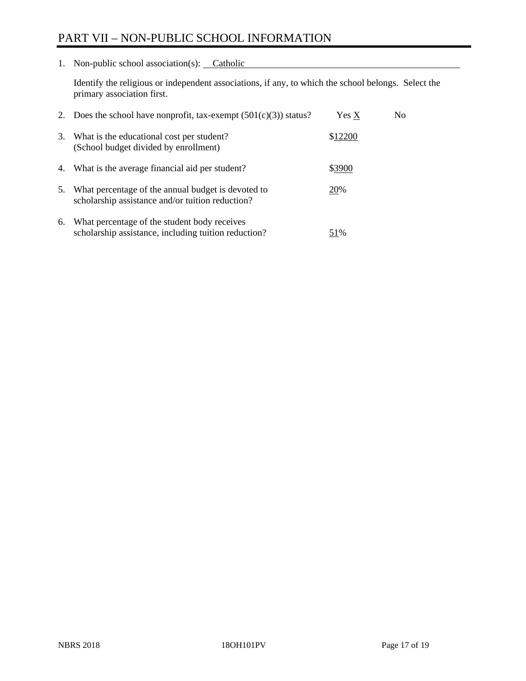## PART VII – NON-PUBLIC SCHOOL INFORMATION

1. Non-public school association(s): Catholic

Identify the religious or independent associations, if any, to which the school belongs. Select the primary association first.

| 2. | Does the school have nonprofit, tax-exempt $(501(c)(3))$ status?                                       | Yes X   | No. |
|----|--------------------------------------------------------------------------------------------------------|---------|-----|
| 3. | What is the educational cost per student?<br>(School budget divided by enrollment)                     | \$12200 |     |
| 4. | What is the average financial aid per student?                                                         | \$3900  |     |
| 5. | What percentage of the annual budget is devoted to<br>scholarship assistance and/or tuition reduction? | 20%     |     |
| 6. | What percentage of the student body receives<br>scholarship assistance, including tuition reduction?   | 51%     |     |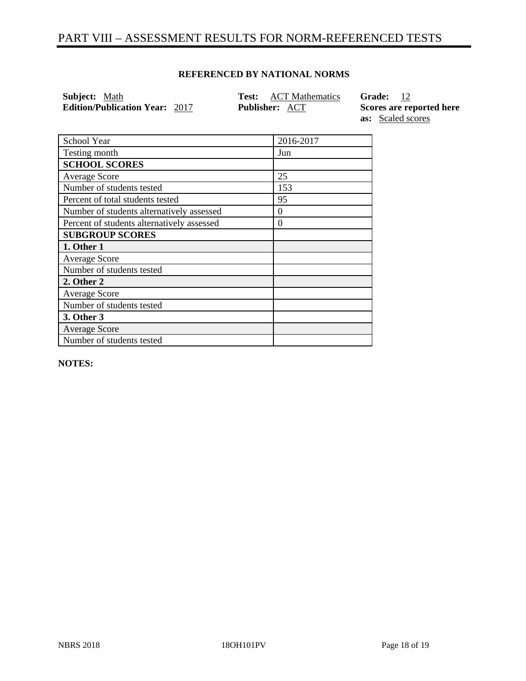## PART VIII – ASSESSMENT RESULTS FOR NORM-REFERENCED TESTS

#### **REFERENCED BY NATIONAL NORMS**

**Subject:** Math **Test:** ACT Mathematics **Grade:** 12 **Edition/Publication Year:** 2017 **Publisher:** <u>ACT</u> **Scores are reported here** *COL* 

**as:** Scaled scores

| School Year                                | 2016-2017 |
|--------------------------------------------|-----------|
| Testing month                              | Jun       |
| <b>SCHOOL SCORES</b>                       |           |
| <b>Average Score</b>                       | 25        |
| Number of students tested                  | 153       |
| Percent of total students tested           | 95        |
| Number of students alternatively assessed  | $\theta$  |
| Percent of students alternatively assessed | $\Omega$  |
| <b>SUBGROUP SCORES</b>                     |           |
| 1. Other 1                                 |           |
| <b>Average Score</b>                       |           |
| Number of students tested                  |           |
| 2. Other 2                                 |           |
| <b>Average Score</b>                       |           |
| Number of students tested                  |           |
| 3. Other 3                                 |           |
| <b>Average Score</b>                       |           |
| Number of students tested                  |           |

**NOTES:**